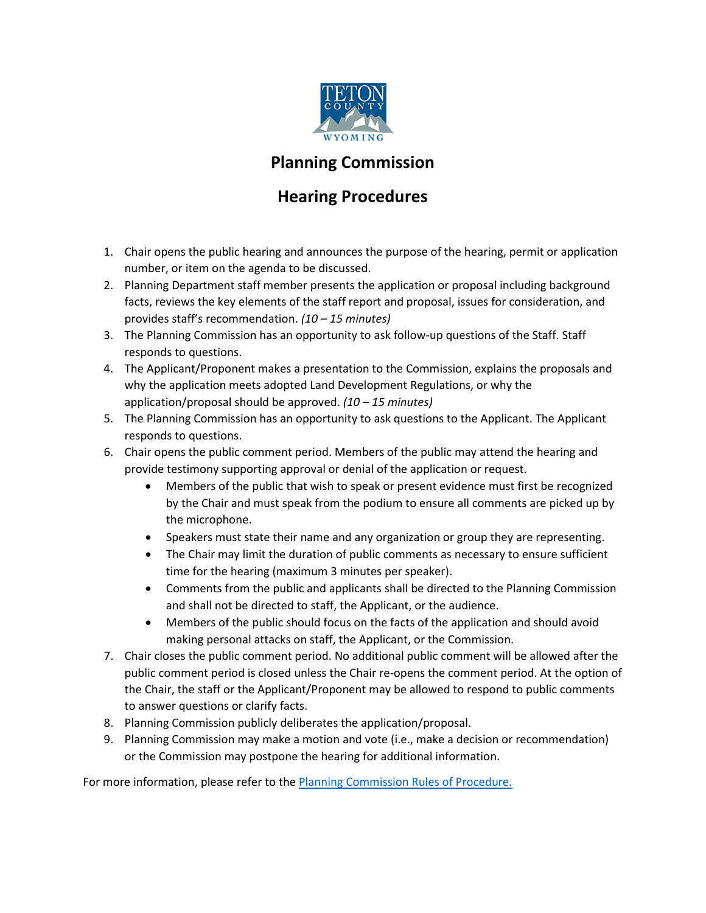

## **Planning Commission**

## **Hearing Procedures**

- 1. Chair opens the public hearing and announces the purpose of the hearing, permit or application number, or item on the agenda to be discussed.
- 2. Planning Department staff member presents the application or proposal including background facts, reviews the key elements of the staff report and proposal, issues for consideration, and provides staff's recommendation. *(10 – 15 minutes)*
- 3. The Planning Commission has an opportunity to ask follow-up questions of the Staff. Staff responds to questions.
- 4. The Applicant/Proponent makes a presentation to the Commission, explains the proposals and why the application meets adopted Land Development Regulations, or why the application/proposal should be approved. *(10 – 15 minutes)*
- 5. The Planning Commission has an opportunity to ask questions to the Applicant. The Applicant responds to questions.
- 6. Chair opens the public comment period. Members of the public may attend the hearing and provide testimony supporting approval or denial of the application or request.
	- Members of the public that wish to speak or present evidence must first be recognized by the Chair and must speak from the podium to ensure all comments are picked up by the microphone.
	- Speakers must state their name and any organization or group they are representing.
	- The Chair may limit the duration of public comments as necessary to ensure sufficient time for the hearing (maximum 3 minutes per speaker).
	- Comments from the public and applicants shall be directed to the Planning Commission and shall not be directed to staff, the Applicant, or the audience.
	- Members of the public should focus on the facts of the application and should avoid making personal attacks on staff, the Applicant, or the Commission.
- 7. Chair closes the public comment period. No additional public comment will be allowed after the public comment period is closed unless the Chair re-opens the comment period. At the option of the Chair, the staff or the Applicant/Proponent may be allowed to respond to public comments to answer questions or clarify facts.
- 8. Planning Commission publicly deliberates the application/proposal.
- 9. Planning Commission may make a motion and vote (i.e., make a decision or recommendation) or the Commission may postpone the hearing for additional information.

For more information, please refer to the **Planning Commission Rules of Procedure.**